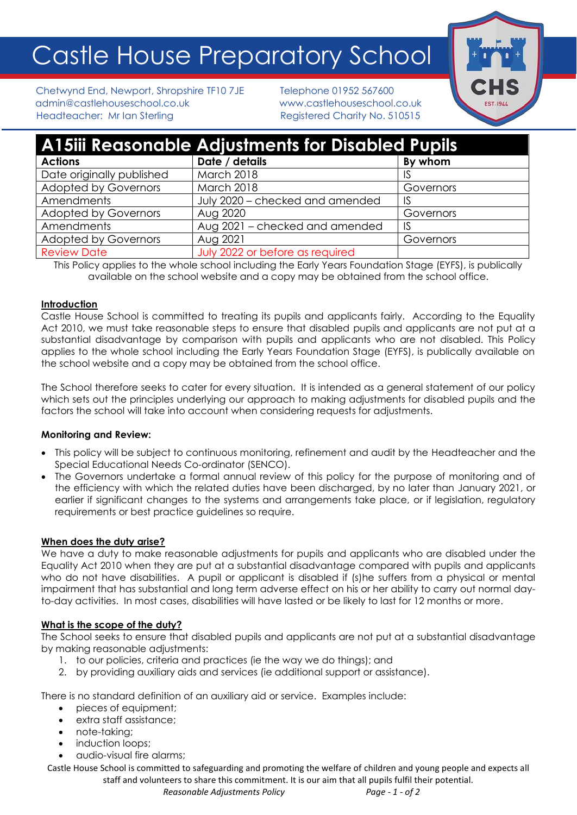# Castle House Preparatory School



Chetwynd End, Newport, Shropshire TF10 7JE Telephone 01952 567600 admin@castlehouseschool.co.uk www.castlehouseschool.co.uk Headteacher: Mr Ian Sterling Theory Registered Charity No. 510515

| <b>A15iii Reasonable Adjustments for Disabled Pupils</b> |                                 |           |
|----------------------------------------------------------|---------------------------------|-----------|
| <b>Actions</b>                                           | Date / details                  | By whom   |
| Date originally published                                | March 2018                      | 1S        |
| <b>Adopted by Governors</b>                              | March 2018                      | Governors |
| Amendments                                               | July 2020 - checked and amended | 1S        |
| <b>Adopted by Governors</b>                              | Aug 2020                        | Governors |
| Amendments                                               | Aug 2021 - checked and amended  | 1S        |
| <b>Adopted by Governors</b>                              | Aug 2021                        | Governors |
| <b>Review Date</b>                                       | July 2022 or before as required |           |

This Policy applies to the whole school including the Early Years Foundation Stage (EYFS), is publically available on the school website and a copy may be obtained from the school office.

# **Introduction**

Castle House School is committed to treating its pupils and applicants fairly. According to the Equality Act 2010, we must take reasonable steps to ensure that disabled pupils and applicants are not put at a substantial disadvantage by comparison with pupils and applicants who are not disabled. This Policy applies to the whole school including the Early Years Foundation Stage (EYFS), is publically available on the school website and a copy may be obtained from the school office.

The School therefore seeks to cater for every situation. It is intended as a general statement of our policy which sets out the principles underlying our approach to making adjustments for disabled pupils and the factors the school will take into account when considering requests for adjustments.

# **Monitoring and Review:**

- This policy will be subject to continuous monitoring, refinement and audit by the Headteacher and the Special Educational Needs Co-ordinator (SENCO).
- The Governors undertake a formal annual review of this policy for the purpose of monitoring and of the efficiency with which the related duties have been discharged, by no later than January 2021, or earlier if significant changes to the systems and arrangements take place, or if legislation, regulatory requirements or best practice guidelines so require.

### **When does the duty arise?**

We have a duty to make reasonable adjustments for pupils and applicants who are disabled under the Equality Act 2010 when they are put at a substantial disadvantage compared with pupils and applicants who do not have disabilities. A pupil or applicant is disabled if (s)he suffers from a physical or mental impairment that has substantial and long term adverse effect on his or her ability to carry out normal dayto-day activities. In most cases, disabilities will have lasted or be likely to last for 12 months or more.

# **What is the scope of the duty?**

The School seeks to ensure that disabled pupils and applicants are not put at a substantial disadvantage by making reasonable adjustments:

- 1. to our policies, criteria and practices (ie the way we do things); and
- 2. by providing auxiliary aids and services (ie additional support or assistance).

There is no standard definition of an auxiliary aid or service. Examples include:

- pieces of equipment;
- extra staff assistance;
- note-taking;
- induction loops;
- audio-visual fire alarms;

Castle House School is committed to safeguarding and promoting the welfare of children and young people and expects all

staff and volunteers to share this commitment. It is our aim that all pupils fulfil their potential.  *Reasonable Adjustments Policy Page - 1 - of 2*